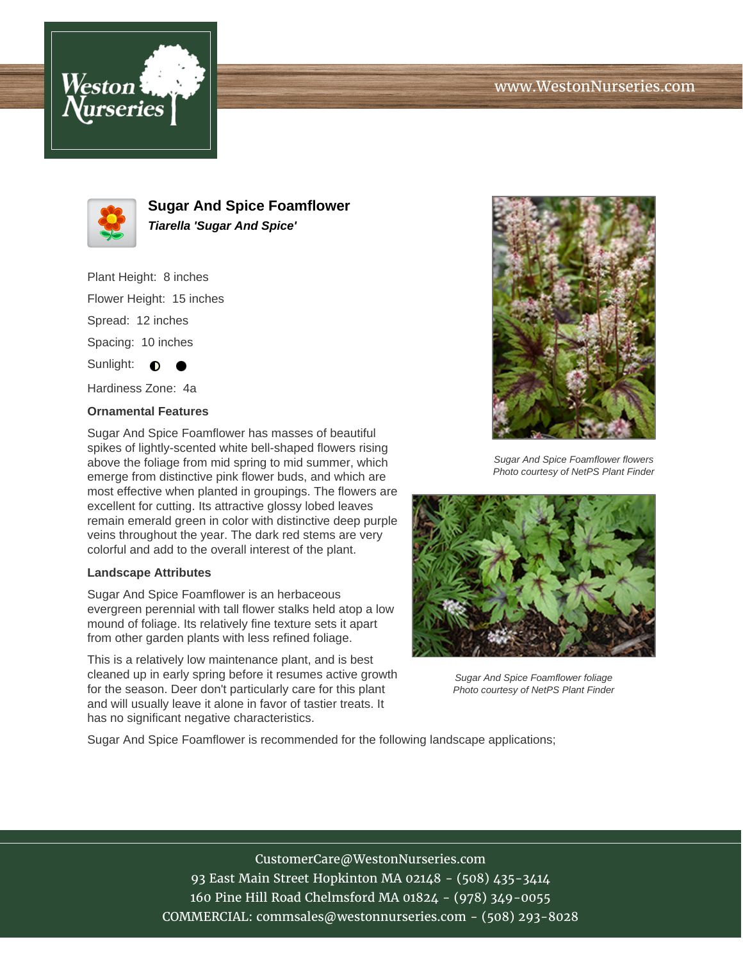## www.WestonNurseries.com





**Sugar And Spice Foamflower Tiarella 'Sugar And Spice'**

Plant Height: 8 inches Flower Height: 15 inches Spread: 12 inches Spacing: 10 inches Sunlight:  $\bullet$ 

Hardiness Zone: 4a

## **Ornamental Features**

Sugar And Spice Foamflower has masses of beautiful spikes of lightly-scented white bell-shaped flowers rising above the foliage from mid spring to mid summer, which emerge from distinctive pink flower buds, and which are most effective when planted in groupings. The flowers are excellent for cutting. Its attractive glossy lobed leaves remain emerald green in color with distinctive deep purple veins throughout the year. The dark red stems are very colorful and add to the overall interest of the plant.

## **Landscape Attributes**

Sugar And Spice Foamflower is an herbaceous evergreen perennial with tall flower stalks held atop a low mound of foliage. Its relatively fine texture sets it apart from other garden plants with less refined foliage.

This is a relatively low maintenance plant, and is best cleaned up in early spring before it resumes active growth for the season. Deer don't particularly care for this plant and will usually leave it alone in favor of tastier treats. It has no significant negative characteristics.



Sugar And Spice Foamflower flowers Photo courtesy of NetPS Plant Finder



Sugar And Spice Foamflower foliage Photo courtesy of NetPS Plant Finder

Sugar And Spice Foamflower is recommended for the following landscape applications;

CustomerCare@WestonNurseries.com 93 East Main Street Hopkinton MA 02148 - (508) 435-3414 160 Pine Hill Road Chelmsford MA 01824 - (978) 349-0055 COMMERCIAL: commsales@westonnurseries.com - (508) 293-8028